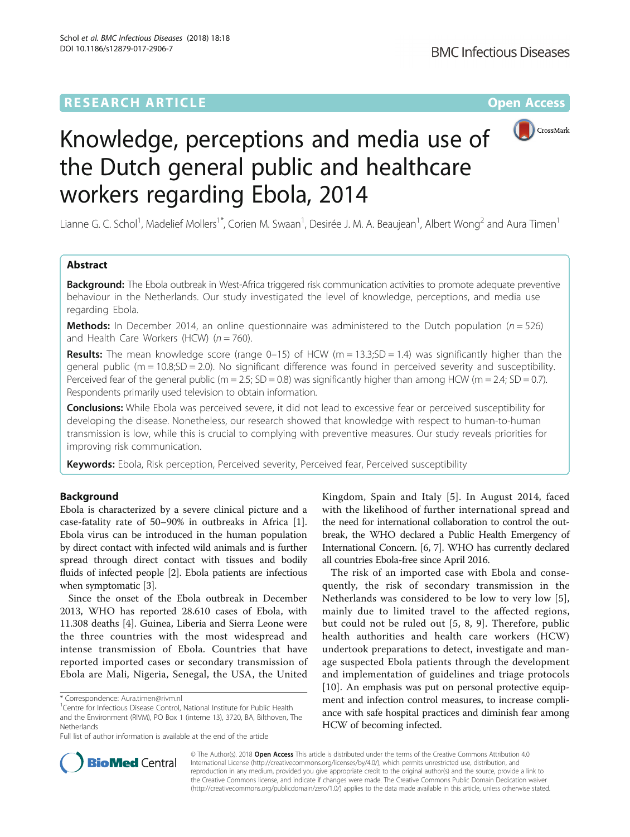## **RESEARCH ARTICLE External Structure Community Community Community Community Community Community Community Community**



# Knowledge, perceptions and media use of the Dutch general public and healthcare workers regarding Ebola, 2014

Lianne G. C. Schol<sup>1</sup>, Madelief Mollers<sup>1\*</sup>, Corien M. Swaan<sup>1</sup>, Desirée J. M. A. Beaujean<sup>1</sup>, Albert Wong<sup>2</sup> and Aura Timen<sup>1</sup>

## Abstract

**Background:** The Ebola outbreak in West-Africa triggered risk communication activities to promote adequate preventive behaviour in the Netherlands. Our study investigated the level of knowledge, perceptions, and media use regarding Ebola.

**Methods:** In December 2014, an online questionnaire was administered to the Dutch population ( $n = 526$ ) and Health Care Workers (HCW) ( $n = 760$ ).

**Results:** The mean knowledge score (range 0–15) of HCW (m = 13.3;SD = 1.4) was significantly higher than the general public ( $m = 10.8$ ;  $SD = 2.0$ ). No significant difference was found in perceived severity and susceptibility. Perceived fear of the general public (m = 2.5; SD = 0.8) was significantly higher than among HCW (m = 2.4; SD = 0.7). Respondents primarily used television to obtain information.

**Conclusions:** While Ebola was perceived severe, it did not lead to excessive fear or perceived susceptibility for developing the disease. Nonetheless, our research showed that knowledge with respect to human-to-human transmission is low, while this is crucial to complying with preventive measures. Our study reveals priorities for improving risk communication.

Keywords: Ebola, Risk perception, Perceived severity, Perceived fear, Perceived susceptibility

## Background

Ebola is characterized by a severe clinical picture and a case-fatality rate of 50–90% in outbreaks in Africa [\[1](#page-8-0)]. Ebola virus can be introduced in the human population by direct contact with infected wild animals and is further spread through direct contact with tissues and bodily fluids of infected people [[2](#page-8-0)]. Ebola patients are infectious when symptomatic [\[3](#page-8-0)].

Since the onset of the Ebola outbreak in December 2013, WHO has reported 28.610 cases of Ebola, with 11.308 deaths [[4\]](#page-8-0). Guinea, Liberia and Sierra Leone were the three countries with the most widespread and intense transmission of Ebola. Countries that have reported imported cases or secondary transmission of Ebola are Mali, Nigeria, Senegal, the USA, the United

Full list of author information is available at the end of the article

Kingdom, Spain and Italy [\[5\]](#page-8-0). In August 2014, faced with the likelihood of further international spread and the need for international collaboration to control the outbreak, the WHO declared a Public Health Emergency of International Concern. [\[6](#page-8-0), [7\]](#page-8-0). WHO has currently declared all countries Ebola-free since April 2016.

The risk of an imported case with Ebola and consequently, the risk of secondary transmission in the Netherlands was considered to be low to very low [[5](#page-8-0)], mainly due to limited travel to the affected regions, but could not be ruled out [\[5](#page-8-0), [8](#page-8-0), [9\]](#page-8-0). Therefore, public health authorities and health care workers (HCW) undertook preparations to detect, investigate and manage suspected Ebola patients through the development and implementation of guidelines and triage protocols [[10](#page-8-0)]. An emphasis was put on personal protective equipment and infection control measures, to increase compliance with safe hospital practices and diminish fear among HCW of becoming infected.



© The Author(s). 2018 Open Access This article is distributed under the terms of the Creative Commons Attribution 4.0 International License [\(http://creativecommons.org/licenses/by/4.0/](http://creativecommons.org/licenses/by/4.0/)), which permits unrestricted use, distribution, and reproduction in any medium, provided you give appropriate credit to the original author(s) and the source, provide a link to the Creative Commons license, and indicate if changes were made. The Creative Commons Public Domain Dedication waiver [\(http://creativecommons.org/publicdomain/zero/1.0/](http://creativecommons.org/publicdomain/zero/1.0/)) applies to the data made available in this article, unless otherwise stated.

<sup>\*</sup> Correspondence: [Aura.timen@rivm.nl](mailto:Aura.timen@rivm.nl) <sup>1</sup>

<sup>&</sup>lt;sup>1</sup> Centre for Infectious Disease Control, National Institute for Public Health and the Environment (RIVM), PO Box 1 (interne 13), 3720, BA, Bilthoven, The Netherlands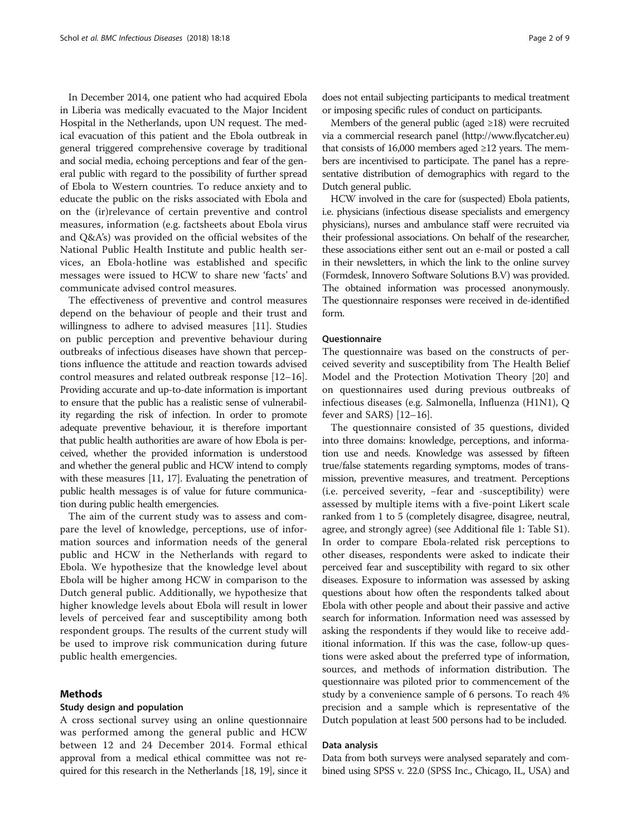In December 2014, one patient who had acquired Ebola in Liberia was medically evacuated to the Major Incident Hospital in the Netherlands, upon UN request. The medical evacuation of this patient and the Ebola outbreak in general triggered comprehensive coverage by traditional and social media, echoing perceptions and fear of the general public with regard to the possibility of further spread of Ebola to Western countries. To reduce anxiety and to educate the public on the risks associated with Ebola and on the (ir)relevance of certain preventive and control measures, information (e.g. factsheets about Ebola virus and Q&A's) was provided on the official websites of the National Public Health Institute and public health services, an Ebola-hotline was established and specific messages were issued to HCW to share new 'facts' and communicate advised control measures.

The effectiveness of preventive and control measures depend on the behaviour of people and their trust and willingness to adhere to advised measures [[11\]](#page-8-0). Studies on public perception and preventive behaviour during outbreaks of infectious diseases have shown that perceptions influence the attitude and reaction towards advised control measures and related outbreak response [[12](#page-8-0)–[16](#page-8-0)]. Providing accurate and up-to-date information is important to ensure that the public has a realistic sense of vulnerability regarding the risk of infection. In order to promote adequate preventive behaviour, it is therefore important that public health authorities are aware of how Ebola is perceived, whether the provided information is understood and whether the general public and HCW intend to comply with these measures [\[11, 17](#page-8-0)]. Evaluating the penetration of public health messages is of value for future communication during public health emergencies.

The aim of the current study was to assess and compare the level of knowledge, perceptions, use of information sources and information needs of the general public and HCW in the Netherlands with regard to Ebola. We hypothesize that the knowledge level about Ebola will be higher among HCW in comparison to the Dutch general public. Additionally, we hypothesize that higher knowledge levels about Ebola will result in lower levels of perceived fear and susceptibility among both respondent groups. The results of the current study will be used to improve risk communication during future public health emergencies.

#### Methods

#### Study design and population

A cross sectional survey using an online questionnaire was performed among the general public and HCW between 12 and 24 December 2014. Formal ethical approval from a medical ethical committee was not required for this research in the Netherlands [\[18](#page-8-0), [19\]](#page-8-0), since it

does not entail subjecting participants to medical treatment or imposing specific rules of conduct on participants.

Members of the general public (aged  $\geq$ 18) were recruited via a commercial research panel (<http://www.flycatcher.eu>) that consists of 16,000 members aged ≥12 years. The members are incentivised to participate. The panel has a representative distribution of demographics with regard to the Dutch general public.

HCW involved in the care for (suspected) Ebola patients, i.e. physicians (infectious disease specialists and emergency physicians), nurses and ambulance staff were recruited via their professional associations. On behalf of the researcher, these associations either sent out an e-mail or posted a call in their newsletters, in which the link to the online survey (Formdesk, Innovero Software Solutions B.V) was provided. The obtained information was processed anonymously. The questionnaire responses were received in de-identified form.

#### **Questionnaire**

The questionnaire was based on the constructs of perceived severity and susceptibility from The Health Belief Model and the Protection Motivation Theory [\[20\]](#page-8-0) and on questionnaires used during previous outbreaks of infectious diseases (e.g. Salmonella, Influenza (H1N1), Q fever and SARS) [[12](#page-8-0)–[16\]](#page-8-0).

The questionnaire consisted of 35 questions, divided into three domains: knowledge, perceptions, and information use and needs. Knowledge was assessed by fifteen true/false statements regarding symptoms, modes of transmission, preventive measures, and treatment. Perceptions (i.e. perceived severity, −fear and -susceptibility) were assessed by multiple items with a five-point Likert scale ranked from 1 to 5 (completely disagree, disagree, neutral, agree, and strongly agree) (see Additional file [1](#page-7-0): Table S1). In order to compare Ebola-related risk perceptions to other diseases, respondents were asked to indicate their perceived fear and susceptibility with regard to six other diseases. Exposure to information was assessed by asking questions about how often the respondents talked about Ebola with other people and about their passive and active search for information. Information need was assessed by asking the respondents if they would like to receive additional information. If this was the case, follow-up questions were asked about the preferred type of information, sources, and methods of information distribution. The questionnaire was piloted prior to commencement of the study by a convenience sample of 6 persons. To reach 4% precision and a sample which is representative of the Dutch population at least 500 persons had to be included.

#### Data analysis

Data from both surveys were analysed separately and combined using SPSS v. 22.0 (SPSS Inc., Chicago, IL, USA) and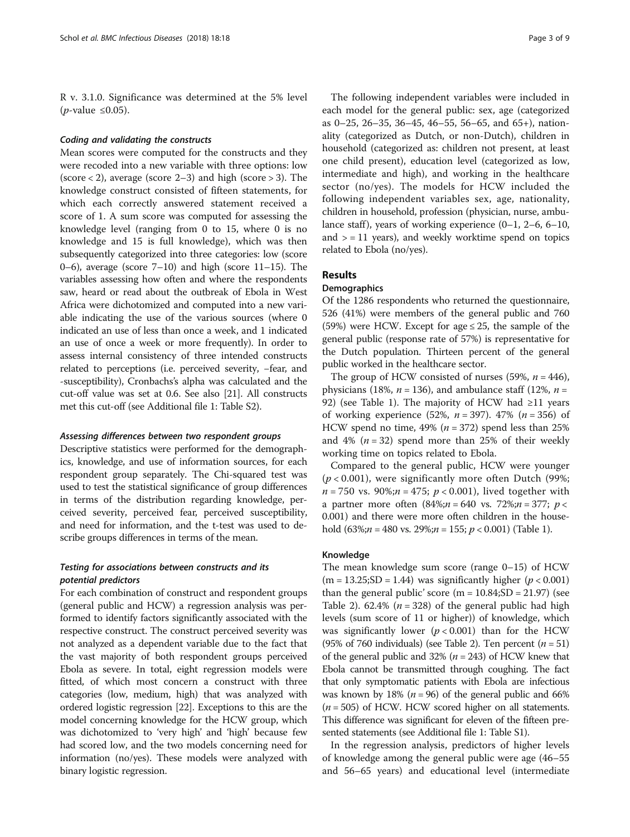R v. 3.1.0. Significance was determined at the 5% level (*p*-value  $\leq$ 0.05).

#### Coding and validating the constructs

Mean scores were computed for the constructs and they were recoded into a new variable with three options: low (score  $<$  2), average (score 2–3) and high (score  $>$  3). The knowledge construct consisted of fifteen statements, for which each correctly answered statement received a score of 1. A sum score was computed for assessing the knowledge level (ranging from 0 to 15, where 0 is no knowledge and 15 is full knowledge), which was then subsequently categorized into three categories: low (score  $0-6$ ), average (score  $7-10$ ) and high (score  $11-15$ ). The variables assessing how often and where the respondents saw, heard or read about the outbreak of Ebola in West Africa were dichotomized and computed into a new variable indicating the use of the various sources (where 0 indicated an use of less than once a week, and 1 indicated an use of once a week or more frequently). In order to assess internal consistency of three intended constructs related to perceptions (i.e. perceived severity, −fear, and -susceptibility), Cronbachs's alpha was calculated and the cut-off value was set at 0.6. See also [[21](#page-8-0)]. All constructs met this cut-off (see Additional file [1](#page-7-0): Table S2).

#### Assessing differences between two respondent groups

Descriptive statistics were performed for the demographics, knowledge, and use of information sources, for each respondent group separately. The Chi-squared test was used to test the statistical significance of group differences in terms of the distribution regarding knowledge, perceived severity, perceived fear, perceived susceptibility, and need for information, and the t-test was used to describe groups differences in terms of the mean.

## Testing for associations between constructs and its potential predictors

For each combination of construct and respondent groups (general public and HCW) a regression analysis was performed to identify factors significantly associated with the respective construct. The construct perceived severity was not analyzed as a dependent variable due to the fact that the vast majority of both respondent groups perceived Ebola as severe. In total, eight regression models were fitted, of which most concern a construct with three categories (low, medium, high) that was analyzed with ordered logistic regression [\[22\]](#page-8-0). Exceptions to this are the model concerning knowledge for the HCW group, which was dichotomized to 'very high' and 'high' because few had scored low, and the two models concerning need for information (no/yes). These models were analyzed with binary logistic regression.

The following independent variables were included in each model for the general public: sex, age (categorized as 0–25, 26–35, 36–45, 46–55, 56–65, and 65+), nationality (categorized as Dutch, or non-Dutch), children in household (categorized as: children not present, at least one child present), education level (categorized as low, intermediate and high), and working in the healthcare sector (no/yes). The models for HCW included the following independent variables sex, age, nationality, children in household, profession (physician, nurse, ambulance staff), years of working experience  $(0-1, 2-6, 6-10, 6-1)$ and  $>$  = 11 years), and weekly worktime spend on topics related to Ebola (no/yes).

## Results

### Demographics

Of the 1286 respondents who returned the questionnaire, 526 (41%) were members of the general public and 760 (59%) were HCW. Except for age  $\leq$  25, the sample of the general public (response rate of 57%) is representative for the Dutch population. Thirteen percent of the general public worked in the healthcare sector.

The group of HCW consisted of nurses (59%,  $n = 446$ ), physicians (18%,  $n = 136$ ), and ambulance staff (12%,  $n =$ 92) (see Table [1](#page-3-0)). The majority of HCW had ≥11 years of working experience (52%,  $n = 397$ ). 47% ( $n = 356$ ) of HCW spend no time,  $49\%$  ( $n = 372$ ) spend less than 25% and 4%  $(n = 32)$  spend more than 25% of their weekly working time on topics related to Ebola.

Compared to the general public, HCW were younger  $(p < 0.001)$ , were significantly more often Dutch (99%;  $n = 750$  vs. 90%; $n = 475$ ;  $p < 0.001$ ), lived together with a partner more often  $(84\%; n = 640 \text{ vs. } 72\%; n = 377; p <$ 0.001) and there were more often children in the household  $(63\%;n = 480 \text{ vs. } 29\%;n = 155; p < 0.001)$  $(63\%;n = 480 \text{ vs. } 29\%;n = 155; p < 0.001)$  $(63\%;n = 480 \text{ vs. } 29\%;n = 155; p < 0.001)$  (Table 1).

#### Knowledge

The mean knowledge sum score (range 0–15) of HCW  $(m = 13.25$ ; SD = 1.44) was significantly higher  $(p < 0.001)$ than the general public' score  $(m = 10.84; SD = 21.97)$  (see Table [2](#page-4-0)). 62.4% ( $n = 328$ ) of the general public had high levels (sum score of 11 or higher)) of knowledge, which was significantly lower ( $p < 0.001$ ) than for the HCW (95% of 760 individuals) (see Table [2](#page-4-0)). Ten percent  $(n = 51)$ of the general public and 32% ( $n = 243$ ) of HCW knew that Ebola cannot be transmitted through coughing. The fact that only symptomatic patients with Ebola are infectious was known by 18% ( $n = 96$ ) of the general public and 66%  $(n = 505)$  of HCW. HCW scored higher on all statements. This difference was significant for eleven of the fifteen presented statements (see Additional file [1:](#page-7-0) Table S1).

In the regression analysis, predictors of higher levels of knowledge among the general public were age (46–55 and 56–65 years) and educational level (intermediate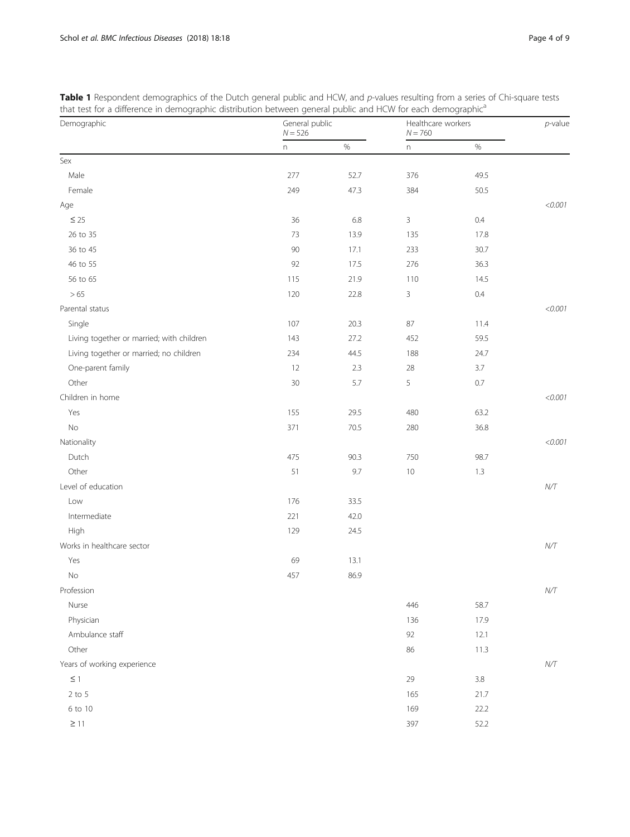<span id="page-3-0"></span>

|  |                                                                                                                         |  |  |  | Table 1 Respondent demographics of the Dutch general public and HCW, and p-values resulting from a series of Chi-square tests |
|--|-------------------------------------------------------------------------------------------------------------------------|--|--|--|-------------------------------------------------------------------------------------------------------------------------------|
|  | that test for a difference in demographic distribution between general public and HCW for each demographic <sup>a</sup> |  |  |  |                                                                                                                               |

| Demographic                               | General public<br>$N = 526$ |      | Healthcare workers<br>$N = 760$ | $p$ -value |           |
|-------------------------------------------|-----------------------------|------|---------------------------------|------------|-----------|
|                                           | n                           | $\%$ | $\boldsymbol{\mathsf{n}}$       | $\%$       |           |
| Sex                                       |                             |      |                                 |            |           |
| Male                                      | 277                         | 52.7 | 376                             | 49.5       |           |
| Female                                    | 249                         | 47.3 | 384                             | 50.5       |           |
| Age                                       |                             |      |                                 |            | < 0.001   |
| $\leq 25$                                 | 36                          | 6.8  | 3                               | 0.4        |           |
| 26 to 35                                  | 73                          | 13.9 | 135                             | 17.8       |           |
| 36 to 45                                  | 90                          | 17.1 | 233                             | 30.7       |           |
| 46 to 55                                  | 92                          | 17.5 | 276                             | 36.3       |           |
| 56 to 65                                  | 115                         | 21.9 | 110                             | 14.5       |           |
| $>65$                                     | 120                         | 22.8 | 3                               | 0.4        |           |
| Parental status                           |                             |      |                                 |            | < 0.001   |
| Single                                    | 107                         | 20.3 | $87\,$                          | 11.4       |           |
| Living together or married; with children | 143                         | 27.2 | 452                             | 59.5       |           |
| Living together or married; no children   | 234                         | 44.5 | 188                             | 24.7       |           |
| One-parent family                         | 12                          | 2.3  | 28                              | 3.7        |           |
| Other                                     | 30                          | 5.7  | 5                               | 0.7        |           |
| Children in home                          |                             |      |                                 |            | < 0.001   |
| Yes                                       | 155                         | 29.5 | 480                             | 63.2       |           |
| $\rm No$                                  | 371                         | 70.5 | 280                             | 36.8       |           |
| Nationality                               |                             |      |                                 |            | < 0.001   |
| Dutch                                     | 475                         | 90.3 | 750                             | 98.7       |           |
| Other                                     | 51                          | 9.7  | $10$                            | 1.3        |           |
| Level of education                        |                             |      |                                 |            | $N\!/\!T$ |
| Low                                       | 176                         | 33.5 |                                 |            |           |
| Intermediate                              | 221                         | 42.0 |                                 |            |           |
| High                                      | 129                         | 24.5 |                                 |            |           |
| Works in healthcare sector                |                             |      |                                 |            | $N\!/\!T$ |
| Yes                                       | 69                          | 13.1 |                                 |            |           |
| No                                        | 457                         | 86.9 |                                 |            |           |
| Profession                                |                             |      |                                 |            | $N\!/\!T$ |
| Nurse                                     |                             |      | 446                             | 58.7       |           |
| Physician                                 |                             |      | 136                             | 17.9       |           |
| Ambulance staff                           |                             |      | 92                              | 12.1       |           |
| Other                                     |                             |      | 86                              | 11.3       |           |
| Years of working experience               |                             |      |                                 |            | $N\!/\!T$ |
| $\leq$ 1                                  |                             |      | 29                              | 3.8        |           |
| $2$ to $5\,$                              |                             |      | 165                             | 21.7       |           |
| 6 to 10                                   |                             |      | 169                             | 22.2       |           |
| $\geq$ 11                                 |                             |      | 397                             | 52.2       |           |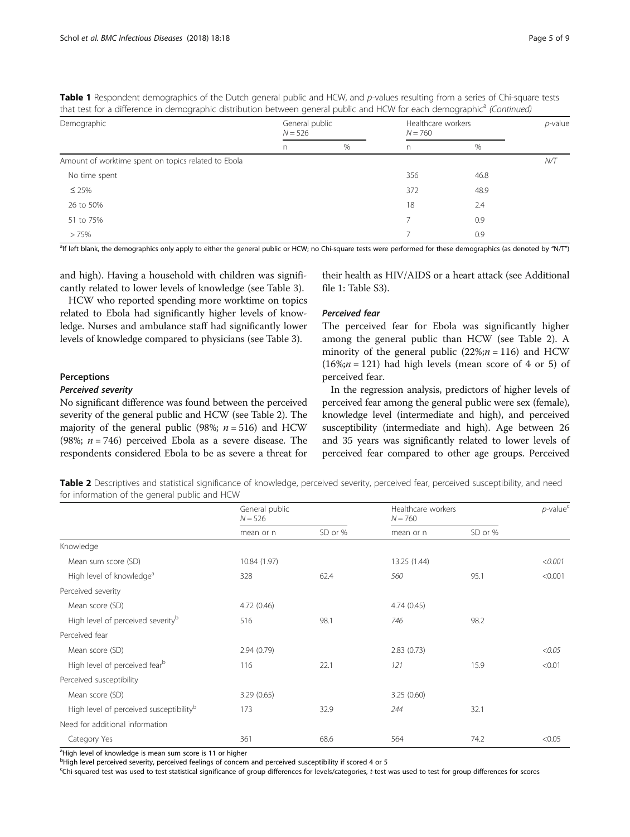<span id="page-4-0"></span>Table 1 Respondent demographics of the Dutch general public and HCW, and p-values resulting from a series of Chi-square tests that test for a difference in demographic distribution between general public and HCW for each demographic<sup>a</sup> (Continued)

| Demographic                                         | General public<br>$N = 526$ |   | Healthcare workers<br>$N = 760$ |      | $p$ -value |
|-----------------------------------------------------|-----------------------------|---|---------------------------------|------|------------|
|                                                     |                             | % | n                               | %    |            |
| Amount of worktime spent on topics related to Ebola |                             |   |                                 | NЛ   |            |
| No time spent                                       |                             |   | 356                             | 46.8 |            |
| $\leq$ 25%                                          |                             |   | 372                             | 48.9 |            |
| 26 to 50%                                           |                             |   | 18                              | 2.4  |            |
| 51 to 75%                                           |                             |   |                                 | 0.9  |            |
| >75%                                                |                             |   |                                 | 0.9  |            |

<sup>a</sup>lf left blank, the demographics only apply to either the general public or HCW; no Chi-square tests were performed for these demographics (as denoted by "N/T")

and high). Having a household with children was significantly related to lower levels of knowledge (see Table [3](#page-5-0)).

HCW who reported spending more worktime on topics related to Ebola had significantly higher levels of knowledge. Nurses and ambulance staff had significantly lower levels of knowledge compared to physicians (see Table [3\)](#page-5-0).

#### Perceptions

#### Perceived severity

No significant difference was found between the perceived severity of the general public and HCW (see Table 2). The majority of the general public (98%;  $n = 516$ ) and HCW (98%;  $n = 746$ ) perceived Ebola as a severe disease. The respondents considered Ebola to be as severe a threat for

their health as HIV/AIDS or a heart attack (see Additional file [1](#page-7-0): Table S3).

## Perceived fear

The perceived fear for Ebola was significantly higher among the general public than HCW (see Table 2). A minority of the general public  $(22\%; n = 116)$  and HCW  $(16\%;n=121)$  had high levels (mean score of 4 or 5) of perceived fear.

In the regression analysis, predictors of higher levels of perceived fear among the general public were sex (female), knowledge level (intermediate and high), and perceived susceptibility (intermediate and high). Age between 26 and 35 years was significantly related to lower levels of perceived fear compared to other age groups. Perceived

Table 2 Descriptives and statistical significance of knowledge, perceived severity, perceived fear, perceived susceptibility, and need for information of the general public and HCW

|                                                     | General public<br>$N = 526$ |         | Healthcare workers<br>$N = 760$ |         | $p$ -value <sup>c</sup> |
|-----------------------------------------------------|-----------------------------|---------|---------------------------------|---------|-------------------------|
|                                                     | mean or n                   | SD or % | mean or n                       | SD or % |                         |
| Knowledge                                           |                             |         |                                 |         |                         |
| Mean sum score (SD)                                 | 10.84 (1.97)                |         | 13.25 (1.44)                    |         | < 0.001                 |
| High level of knowledge <sup>a</sup>                | 328                         | 62.4    | 560                             | 95.1    | < 0.001                 |
| Perceived severity                                  |                             |         |                                 |         |                         |
| Mean score (SD)                                     | 4.72 (0.46)                 |         | 4.74(0.45)                      |         |                         |
| High level of perceived severity <sup>b</sup>       | 516                         | 98.1    | 746                             | 98.2    |                         |
| Perceived fear                                      |                             |         |                                 |         |                         |
| Mean score (SD)                                     | 2.94(0.79)                  |         | 2.83(0.73)                      |         | < 0.05                  |
| High level of perceived fearb                       | 116                         | 22.1    | 121                             | 15.9    | < 0.01                  |
| Perceived susceptibility                            |                             |         |                                 |         |                         |
| Mean score (SD)                                     | 3.29(0.65)                  |         | 3.25(0.60)                      |         |                         |
| High level of perceived susceptibility <sup>b</sup> | 173                         | 32.9    | 244                             | 32.1    |                         |
| Need for additional information                     |                             |         |                                 |         |                         |
| Category Yes                                        | 361                         | 68.6    | 564                             | 74.2    | < 0.05                  |

<sup>a</sup>High level of knowledge is mean sum score is 11 or higher

<sup>b</sup>High level perceived severity, perceived feelings of concern and perceived susceptibility if scored 4 or 5

c Chi-squared test was used to test statistical significance of group differences for levels/categories, t-test was used to test for group differences for scores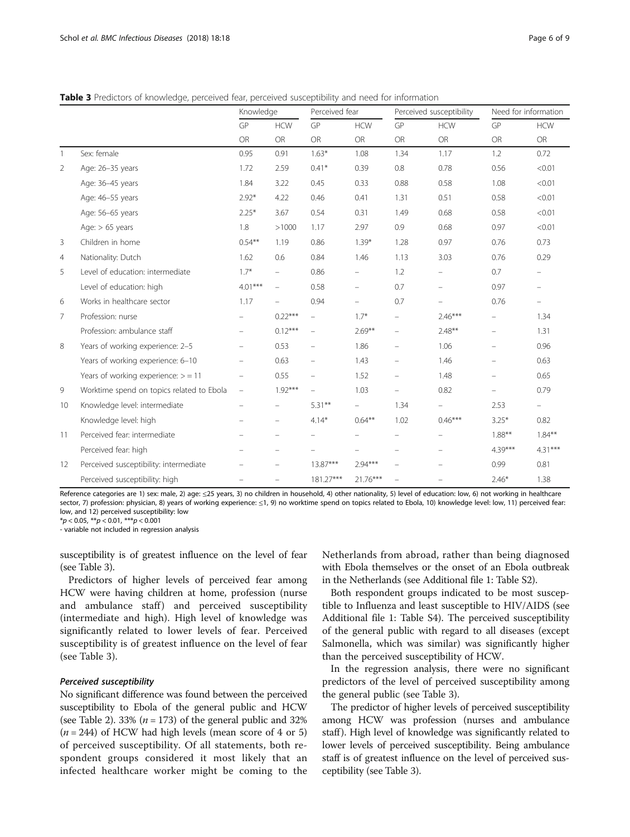|                |                                           | Knowledge                |                          | Perceived fear           |                          | Perceived susceptibility |            | Need for information           |                          |
|----------------|-------------------------------------------|--------------------------|--------------------------|--------------------------|--------------------------|--------------------------|------------|--------------------------------|--------------------------|
|                |                                           | GP                       | <b>HCW</b>               | GP                       | <b>HCW</b>               | GP                       | <b>HCW</b> | GP                             | <b>HCW</b>               |
|                |                                           | <b>OR</b>                | OR                       | <b>OR</b>                | OR                       | OR                       | OR         | OR                             | <b>OR</b>                |
| 1              | Sex: female                               | 0.95                     | 0.91                     | $1.63*$                  | 1.08                     | 1.34                     | 1.17       | 1.2                            | 0.72                     |
| 2              | Age: 26-35 years                          | 1.72                     | 2.59                     | $0.41*$                  | 0.39                     | 0.8                      | 0.78       | 0.56                           | < 0.01                   |
|                | Age: 36-45 years                          | 1.84                     | 3.22                     | 0.45                     | 0.33                     | 0.88                     | 0.58       | 1.08                           | < 0.01                   |
|                | Age: 46-55 years                          | $2.92*$                  | 4.22                     | 0.46                     | 0.41                     | 1.31                     | 0.51       | 0.58                           | < 0.01                   |
|                | Age: 56-65 years                          | $2.25*$                  | 3.67                     | 0.54                     | 0.31                     | 1.49                     | 0.68       | 0.58                           | < 0.01                   |
|                | Age: $> 65$ years                         | 1.8                      | >1000                    | 1.17                     | 2.97                     | 0.9                      | 0.68       | 0.97                           | < 0.01                   |
| 3              | Children in home                          | $0.54***$                | 1.19                     | 0.86                     | $1.39*$                  | 1.28                     | 0.97       | 0.76                           | 0.73                     |
| $\overline{4}$ | Nationality: Dutch                        | 1.62                     | 0.6                      | 0.84                     | 1.46                     | 1.13                     | 3.03       | 0.76                           | 0.29                     |
| 5              | Level of education: intermediate          | $1.7*$                   | $\qquad \qquad -$        | 0.86                     | $\qquad \qquad -$        | 1.2                      |            | 0.7                            | $\qquad \qquad -$        |
|                | Level of education: high                  | $4.01***$                | $\overline{\phantom{0}}$ | 0.58                     | $\overline{\phantom{0}}$ | 0.7                      |            | 0.97                           | $\qquad \qquad -$        |
| 6              | Works in healthcare sector                | 1.17                     | $\qquad \qquad -$        | 0.94                     | $\qquad \qquad -$        | 0.7                      |            | 0.76                           | $\overline{\phantom{0}}$ |
| 7              | Profession: nurse                         |                          | $0.22***$                | $\overline{\phantom{0}}$ | $1.7*$                   | $\qquad \qquad -$        | $2.46***$  | $\overline{\phantom{0}}$       | 1.34                     |
|                | Profession: ambulance staff               |                          | $0.12***$                | $\equiv$                 | $2.69***$                | $\equiv$                 | $2.48***$  | $\equiv$                       | 1.31                     |
| 8              | Years of working experience: 2-5          | $\overline{\phantom{m}}$ | 0.53                     | $\overline{\phantom{m}}$ | 1.86                     | $\qquad \qquad -$        | 1.06       | $\qquad \qquad -$              | 0.96                     |
|                | Years of working experience: 6-10         | $\overline{\phantom{m}}$ | 0.63                     | $\qquad \qquad -$        | 1.43                     | $\qquad \qquad -$        | 1.46       | $\qquad \qquad \longleftarrow$ | 0.63                     |
|                | Years of working experience: $>$ = 11     | $\qquad \qquad -$        | 0.55                     | $\overline{\phantom{0}}$ | 1.52                     | $\qquad \qquad -$        | 1.48       | $\qquad \qquad -$              | 0.65                     |
| 9              | Worktime spend on topics related to Ebola | $\overline{\phantom{a}}$ | $1.92***$                | $\overline{\phantom{0}}$ | 1.03                     | $\qquad \qquad -$        | 0.82       | -                              | 0.79                     |
| 10             | Knowledge level: intermediate             | $\overline{\phantom{0}}$ |                          | $5.31***$                | $\qquad \qquad -$        | 1.34                     |            | 2.53                           | $\overline{\phantom{0}}$ |
|                | Knowledge level: high                     |                          | $\overline{\phantom{0}}$ | $4.14*$                  | $0.64**$                 | 1.02                     | $0.46***$  | $3.25*$                        | 0.82                     |
| 11             | Perceived fear: intermediate              |                          |                          |                          |                          | -                        |            | $1.88***$                      | $1.84***$                |
|                | Perceived fear: high                      |                          |                          |                          |                          | $\equiv$                 |            | $4.39***$                      | $4.31***$                |
| 12             | Perceived susceptibility: intermediate    |                          |                          | $13.87***$               | $2.94***$                |                          |            | 0.99                           | 0.81                     |
|                | Perceived susceptibility: high            |                          |                          | 181.27***                | 21.76***                 |                          |            | $2.46*$                        | 1.38                     |

<span id="page-5-0"></span>Table 3 Predictors of knowledge, perceived fear, perceived susceptibility and need for information

Reference categories are 1) sex: male, 2) age: ≤25 years, 3) no children in household, 4) other nationality, 5) level of education: low, 6) not working in healthcare sector, 7) profession: physician, 8) years of working experience: ≤1, 9) no worktime spend on topics related to Ebola, 10) knowledge level: low, 11) perceived fear: low, and 12) perceived susceptibility: low

 $*p < 0.05$ ,  $**p < 0.01$ ,  $***p < 0.001$ 

- variable not included in regression analysis

susceptibility is of greatest influence on the level of fear (see Table 3).

Predictors of higher levels of perceived fear among HCW were having children at home, profession (nurse and ambulance staff) and perceived susceptibility (intermediate and high). High level of knowledge was significantly related to lower levels of fear. Perceived susceptibility is of greatest influence on the level of fear (see Table 3).

#### Perceived susceptibility

No significant difference was found between the perceived susceptibility to Ebola of the general public and HCW (see Table [2](#page-4-0)). 33% ( $n = 173$ ) of the general public and 32%  $(n = 244)$  of HCW had high levels (mean score of 4 or 5) of perceived susceptibility. Of all statements, both respondent groups considered it most likely that an infected healthcare worker might be coming to the Netherlands from abroad, rather than being diagnosed with Ebola themselves or the onset of an Ebola outbreak in the Netherlands (see Additional file [1](#page-7-0): Table S2).

Both respondent groups indicated to be most susceptible to Influenza and least susceptible to HIV/AIDS (see Additional file [1:](#page-7-0) Table S4). The perceived susceptibility of the general public with regard to all diseases (except Salmonella, which was similar) was significantly higher than the perceived susceptibility of HCW.

In the regression analysis, there were no significant predictors of the level of perceived susceptibility among the general public (see Table 3).

The predictor of higher levels of perceived susceptibility among HCW was profession (nurses and ambulance staff). High level of knowledge was significantly related to lower levels of perceived susceptibility. Being ambulance staff is of greatest influence on the level of perceived susceptibility (see Table 3).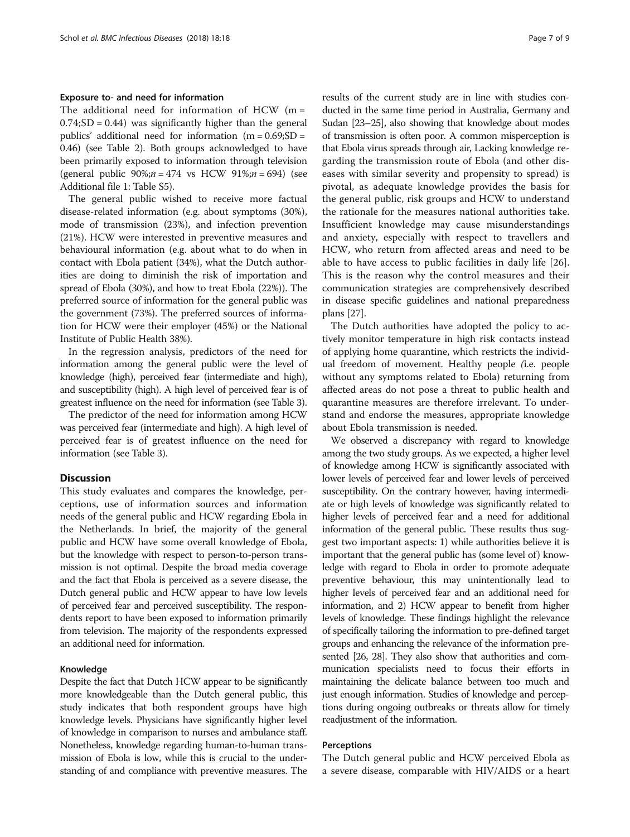#### Exposure to- and need for information

The additional need for information of HCW  $(m =$  $0.74$ ; SD = 0.44) was significantly higher than the general publics' additional need for information  $(m = 0.69; SD =$ 0.46) (see Table [2](#page-4-0)). Both groups acknowledged to have been primarily exposed to information through television (general public  $90\%; n = 474$  vs HCW  $91\%; n = 694$ ) (see Additional file [1](#page-7-0): Table S5).

The general public wished to receive more factual disease-related information (e.g. about symptoms (30%), mode of transmission (23%), and infection prevention (21%). HCW were interested in preventive measures and behavioural information (e.g. about what to do when in contact with Ebola patient (34%), what the Dutch authorities are doing to diminish the risk of importation and spread of Ebola (30%), and how to treat Ebola (22%)). The preferred source of information for the general public was the government (73%). The preferred sources of information for HCW were their employer (45%) or the National Institute of Public Health 38%).

In the regression analysis, predictors of the need for information among the general public were the level of knowledge (high), perceived fear (intermediate and high), and susceptibility (high). A high level of perceived fear is of greatest influence on the need for information (see Table [3](#page-5-0)).

The predictor of the need for information among HCW was perceived fear (intermediate and high). A high level of perceived fear is of greatest influence on the need for information (see Table [3](#page-5-0)).

## **Discussion**

This study evaluates and compares the knowledge, perceptions, use of information sources and information needs of the general public and HCW regarding Ebola in the Netherlands. In brief, the majority of the general public and HCW have some overall knowledge of Ebola, but the knowledge with respect to person-to-person transmission is not optimal. Despite the broad media coverage and the fact that Ebola is perceived as a severe disease, the Dutch general public and HCW appear to have low levels of perceived fear and perceived susceptibility. The respondents report to have been exposed to information primarily from television. The majority of the respondents expressed an additional need for information.

#### Knowledge

Despite the fact that Dutch HCW appear to be significantly more knowledgeable than the Dutch general public, this study indicates that both respondent groups have high knowledge levels. Physicians have significantly higher level of knowledge in comparison to nurses and ambulance staff. Nonetheless, knowledge regarding human-to-human transmission of Ebola is low, while this is crucial to the understanding of and compliance with preventive measures. The results of the current study are in line with studies conducted in the same time period in Australia, Germany and Sudan [[23](#page-8-0)–[25](#page-8-0)], also showing that knowledge about modes of transmission is often poor. A common misperception is that Ebola virus spreads through air, Lacking knowledge regarding the transmission route of Ebola (and other diseases with similar severity and propensity to spread) is pivotal, as adequate knowledge provides the basis for the general public, risk groups and HCW to understand the rationale for the measures national authorities take. Insufficient knowledge may cause misunderstandings and anxiety, especially with respect to travellers and HCW, who return from affected areas and need to be able to have access to public facilities in daily life [\[26](#page-8-0)]. This is the reason why the control measures and their communication strategies are comprehensively described in disease specific guidelines and national preparedness plans [\[27](#page-8-0)].

The Dutch authorities have adopted the policy to actively monitor temperature in high risk contacts instead of applying home quarantine, which restricts the individual freedom of movement. Healthy people (i.e. people without any symptoms related to Ebola) returning from affected areas do not pose a threat to public health and quarantine measures are therefore irrelevant. To understand and endorse the measures, appropriate knowledge about Ebola transmission is needed.

We observed a discrepancy with regard to knowledge among the two study groups. As we expected, a higher level of knowledge among HCW is significantly associated with lower levels of perceived fear and lower levels of perceived susceptibility. On the contrary however, having intermediate or high levels of knowledge was significantly related to higher levels of perceived fear and a need for additional information of the general public. These results thus suggest two important aspects: 1) while authorities believe it is important that the general public has (some level of) knowledge with regard to Ebola in order to promote adequate preventive behaviour, this may unintentionally lead to higher levels of perceived fear and an additional need for information, and 2) HCW appear to benefit from higher levels of knowledge. These findings highlight the relevance of specifically tailoring the information to pre-defined target groups and enhancing the relevance of the information presented [[26](#page-8-0), [28](#page-8-0)]. They also show that authorities and communication specialists need to focus their efforts in maintaining the delicate balance between too much and just enough information. Studies of knowledge and perceptions during ongoing outbreaks or threats allow for timely readjustment of the information.

#### **Perceptions**

The Dutch general public and HCW perceived Ebola as a severe disease, comparable with HIV/AIDS or a heart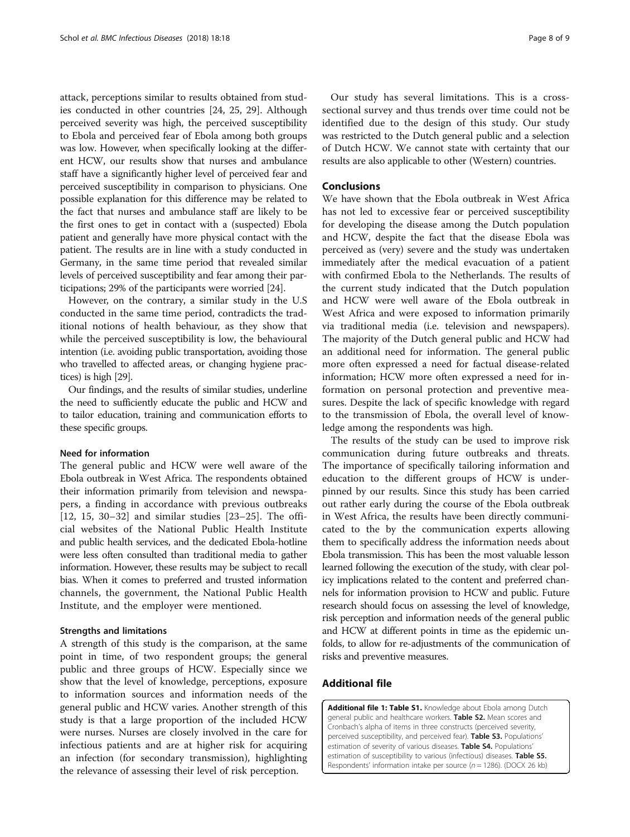<span id="page-7-0"></span>attack, perceptions similar to results obtained from studies conducted in other countries [[24, 25, 29\]](#page-8-0). Although perceived severity was high, the perceived susceptibility to Ebola and perceived fear of Ebola among both groups was low. However, when specifically looking at the different HCW, our results show that nurses and ambulance staff have a significantly higher level of perceived fear and perceived susceptibility in comparison to physicians. One possible explanation for this difference may be related to the fact that nurses and ambulance staff are likely to be the first ones to get in contact with a (suspected) Ebola patient and generally have more physical contact with the patient. The results are in line with a study conducted in Germany, in the same time period that revealed similar levels of perceived susceptibility and fear among their participations; 29% of the participants were worried [\[24\]](#page-8-0).

However, on the contrary, a similar study in the U.S conducted in the same time period, contradicts the traditional notions of health behaviour, as they show that while the perceived susceptibility is low, the behavioural intention (i.e. avoiding public transportation, avoiding those who travelled to affected areas, or changing hygiene practices) is high [\[29](#page-8-0)].

Our findings, and the results of similar studies, underline the need to sufficiently educate the public and HCW and to tailor education, training and communication efforts to these specific groups.

#### Need for information

The general public and HCW were well aware of the Ebola outbreak in West Africa. The respondents obtained their information primarily from television and newspapers, a finding in accordance with previous outbreaks [[12, 15, 30](#page-8-0)–[32](#page-8-0)] and similar studies [\[23](#page-8-0)–[25](#page-8-0)]. The official websites of the National Public Health Institute and public health services, and the dedicated Ebola-hotline were less often consulted than traditional media to gather information. However, these results may be subject to recall bias. When it comes to preferred and trusted information channels, the government, the National Public Health Institute, and the employer were mentioned.

#### Strengths and limitations

A strength of this study is the comparison, at the same point in time, of two respondent groups; the general public and three groups of HCW. Especially since we show that the level of knowledge, perceptions, exposure to information sources and information needs of the general public and HCW varies. Another strength of this study is that a large proportion of the included HCW were nurses. Nurses are closely involved in the care for infectious patients and are at higher risk for acquiring an infection (for secondary transmission), highlighting the relevance of assessing their level of risk perception.

Our study has several limitations. This is a crosssectional survey and thus trends over time could not be identified due to the design of this study. Our study was restricted to the Dutch general public and a selection of Dutch HCW. We cannot state with certainty that our results are also applicable to other (Western) countries.

#### Conclusions

We have shown that the Ebola outbreak in West Africa has not led to excessive fear or perceived susceptibility for developing the disease among the Dutch population and HCW, despite the fact that the disease Ebola was perceived as (very) severe and the study was undertaken immediately after the medical evacuation of a patient with confirmed Ebola to the Netherlands. The results of the current study indicated that the Dutch population and HCW were well aware of the Ebola outbreak in West Africa and were exposed to information primarily via traditional media (i.e. television and newspapers). The majority of the Dutch general public and HCW had an additional need for information. The general public more often expressed a need for factual disease-related information; HCW more often expressed a need for information on personal protection and preventive measures. Despite the lack of specific knowledge with regard to the transmission of Ebola, the overall level of knowledge among the respondents was high.

The results of the study can be used to improve risk communication during future outbreaks and threats. The importance of specifically tailoring information and education to the different groups of HCW is underpinned by our results. Since this study has been carried out rather early during the course of the Ebola outbreak in West Africa, the results have been directly communicated to the by the communication experts allowing them to specifically address the information needs about Ebola transmission. This has been the most valuable lesson learned following the execution of the study, with clear policy implications related to the content and preferred channels for information provision to HCW and public. Future research should focus on assessing the level of knowledge, risk perception and information needs of the general public and HCW at different points in time as the epidemic unfolds, to allow for re-adjustments of the communication of risks and preventive measures.

## Additional file

[Additional file 1: Table S1.](dx.doi.org/10.1186/s12879-017-2906-7) Knowledge about Ebola among Dutch general public and healthcare workers. Table S2. Mean scores and Cronbach's alpha of items in three constructs (perceived severity, perceived susceptibility, and perceived fear). Table S3. Populations' estimation of severity of various diseases. Table S4. Populations' estimation of susceptibility to various (infectious) diseases. Table S5. Respondents' information intake per source ( $n = 1286$ ). (DOCX 26 kb)